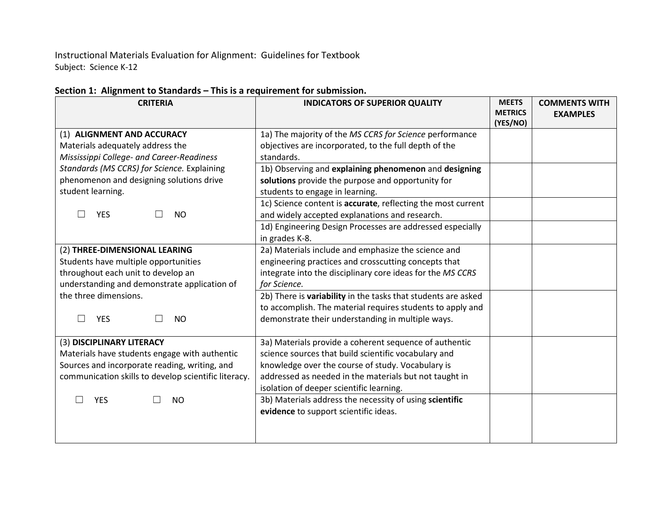Instructional Materials Evaluation for Alignment: Guidelines for Textbook Subject: Science K-12

| <b>CRITERIA</b>                                      | <b>INDICATORS OF SUPERIOR QUALITY</b>                         | <b>MEETS</b><br><b>METRICS</b><br>(YES/NO) | <b>COMMENTS WITH</b><br><b>EXAMPLES</b> |
|------------------------------------------------------|---------------------------------------------------------------|--------------------------------------------|-----------------------------------------|
| (1) ALIGNMENT AND ACCURACY                           | 1a) The majority of the MS CCRS for Science performance       |                                            |                                         |
| Materials adequately address the                     | objectives are incorporated, to the full depth of the         |                                            |                                         |
| Mississippi College- and Career-Readiness            | standards.                                                    |                                            |                                         |
| Standards (MS CCRS) for Science. Explaining          | 1b) Observing and explaining phenomenon and designing         |                                            |                                         |
| phenomenon and designing solutions drive             | solutions provide the purpose and opportunity for             |                                            |                                         |
| student learning.                                    | students to engage in learning.                               |                                            |                                         |
|                                                      | 1c) Science content is accurate, reflecting the most current  |                                            |                                         |
| <b>YES</b><br><b>NO</b>                              | and widely accepted explanations and research.                |                                            |                                         |
|                                                      | 1d) Engineering Design Processes are addressed especially     |                                            |                                         |
|                                                      | in grades K-8.                                                |                                            |                                         |
| (2) THREE-DIMENSIONAL LEARING                        | 2a) Materials include and emphasize the science and           |                                            |                                         |
| Students have multiple opportunities                 | engineering practices and crosscutting concepts that          |                                            |                                         |
| throughout each unit to develop an                   | integrate into the disciplinary core ideas for the MS CCRS    |                                            |                                         |
| understanding and demonstrate application of         | for Science.                                                  |                                            |                                         |
| the three dimensions.                                | 2b) There is variability in the tasks that students are asked |                                            |                                         |
|                                                      | to accomplish. The material requires students to apply and    |                                            |                                         |
| <b>YES</b><br><b>NO</b><br>$\overline{\phantom{0}}$  | demonstrate their understanding in multiple ways.             |                                            |                                         |
|                                                      |                                                               |                                            |                                         |
| (3) DISCIPLINARY LITERACY                            | 3a) Materials provide a coherent sequence of authentic        |                                            |                                         |
| Materials have students engage with authentic        | science sources that build scientific vocabulary and          |                                            |                                         |
| Sources and incorporate reading, writing, and        | knowledge over the course of study. Vocabulary is             |                                            |                                         |
| communication skills to develop scientific literacy. | addressed as needed in the materials but not taught in        |                                            |                                         |
|                                                      | isolation of deeper scientific learning.                      |                                            |                                         |
| <b>YES</b><br><b>NO</b>                              | 3b) Materials address the necessity of using scientific       |                                            |                                         |
|                                                      | evidence to support scientific ideas.                         |                                            |                                         |
|                                                      |                                                               |                                            |                                         |
|                                                      |                                                               |                                            |                                         |

## **Section 1: Alignment to Standards – This is a requirement for submission.**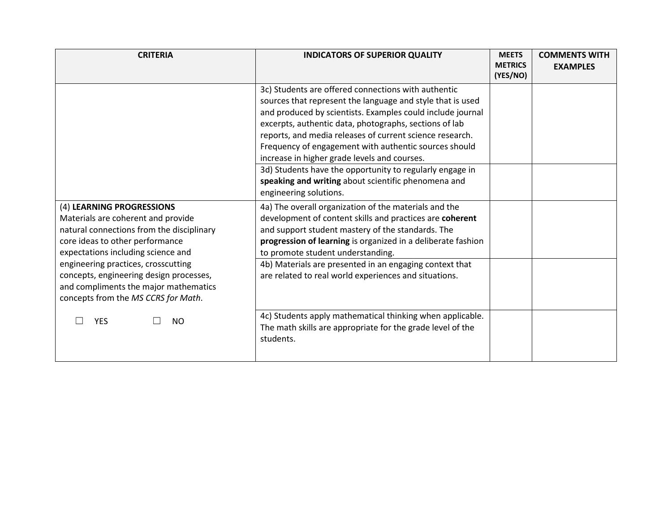| <b>CRITERIA</b>                                                                                                                                                                                                                                                                                                                                         | <b>INDICATORS OF SUPERIOR QUALITY</b>                                                                                                                                                                                                                                                                                                                                                                                                                                                                                             | <b>MEETS</b><br><b>METRICS</b><br>(YES/NO) | <b>COMMENTS WITH</b><br><b>EXAMPLES</b> |
|---------------------------------------------------------------------------------------------------------------------------------------------------------------------------------------------------------------------------------------------------------------------------------------------------------------------------------------------------------|-----------------------------------------------------------------------------------------------------------------------------------------------------------------------------------------------------------------------------------------------------------------------------------------------------------------------------------------------------------------------------------------------------------------------------------------------------------------------------------------------------------------------------------|--------------------------------------------|-----------------------------------------|
|                                                                                                                                                                                                                                                                                                                                                         | 3c) Students are offered connections with authentic<br>sources that represent the language and style that is used<br>and produced by scientists. Examples could include journal<br>excerpts, authentic data, photographs, sections of lab<br>reports, and media releases of current science research.<br>Frequency of engagement with authentic sources should<br>increase in higher grade levels and courses.<br>3d) Students have the opportunity to regularly engage in<br>speaking and writing about scientific phenomena and |                                            |                                         |
| (4) LEARNING PROGRESSIONS<br>Materials are coherent and provide<br>natural connections from the disciplinary<br>core ideas to other performance<br>expectations including science and<br>engineering practices, crosscutting<br>concepts, engineering design processes,<br>and compliments the major mathematics<br>concepts from the MS CCRS for Math. | engineering solutions.<br>4a) The overall organization of the materials and the<br>development of content skills and practices are coherent<br>and support student mastery of the standards. The<br>progression of learning is organized in a deliberate fashion<br>to promote student understanding.<br>4b) Materials are presented in an engaging context that<br>are related to real world experiences and situations.                                                                                                         |                                            |                                         |
| <b>YES</b><br><b>NO</b>                                                                                                                                                                                                                                                                                                                                 | 4c) Students apply mathematical thinking when applicable.<br>The math skills are appropriate for the grade level of the<br>students.                                                                                                                                                                                                                                                                                                                                                                                              |                                            |                                         |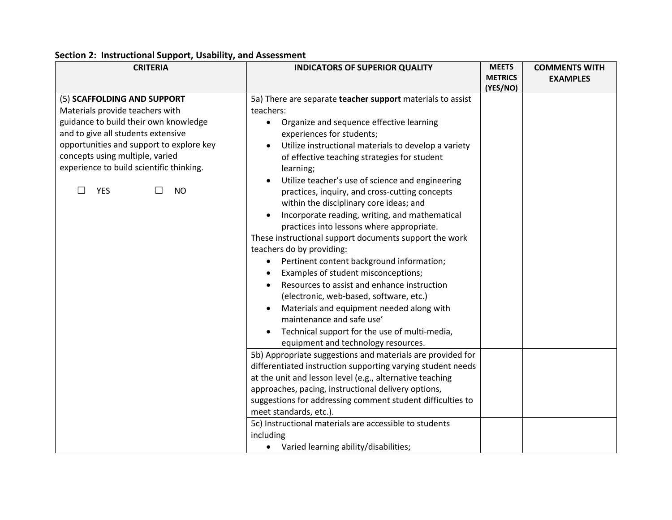## **Section 2: Instructional Support, Usability, and Assessment**

| <b>CRITERIA</b>                                                                                                                                                                                                                                                                                     | <b>INDICATORS OF SUPERIOR QUALITY</b>                                                                                                                                                                                                                                                                                                                                                                                                                                                                                                                                                                                                                                                                                                                                                                                                                                                                                                                                                                                                                                                                                                                                                                                                                                                                                                                                                                   | <b>MEETS</b>   | <b>COMMENTS WITH</b> |
|-----------------------------------------------------------------------------------------------------------------------------------------------------------------------------------------------------------------------------------------------------------------------------------------------------|---------------------------------------------------------------------------------------------------------------------------------------------------------------------------------------------------------------------------------------------------------------------------------------------------------------------------------------------------------------------------------------------------------------------------------------------------------------------------------------------------------------------------------------------------------------------------------------------------------------------------------------------------------------------------------------------------------------------------------------------------------------------------------------------------------------------------------------------------------------------------------------------------------------------------------------------------------------------------------------------------------------------------------------------------------------------------------------------------------------------------------------------------------------------------------------------------------------------------------------------------------------------------------------------------------------------------------------------------------------------------------------------------------|----------------|----------------------|
|                                                                                                                                                                                                                                                                                                     |                                                                                                                                                                                                                                                                                                                                                                                                                                                                                                                                                                                                                                                                                                                                                                                                                                                                                                                                                                                                                                                                                                                                                                                                                                                                                                                                                                                                         | <b>METRICS</b> | <b>EXAMPLES</b>      |
| (5) SCAFFOLDING AND SUPPORT<br>Materials provide teachers with<br>guidance to build their own knowledge<br>and to give all students extensive<br>opportunities and support to explore key<br>concepts using multiple, varied<br>experience to build scientific thinking.<br><b>YES</b><br><b>NO</b> | 5a) There are separate teacher support materials to assist<br>teachers:<br>• Organize and sequence effective learning<br>experiences for students;<br>Utilize instructional materials to develop a variety<br>of effective teaching strategies for student<br>learning;<br>Utilize teacher's use of science and engineering<br>practices, inquiry, and cross-cutting concepts<br>within the disciplinary core ideas; and<br>Incorporate reading, writing, and mathematical<br>$\bullet$<br>practices into lessons where appropriate.<br>These instructional support documents support the work<br>teachers do by providing:<br>Pertinent content background information;<br>$\bullet$<br>Examples of student misconceptions;<br>Resources to assist and enhance instruction<br>(electronic, web-based, software, etc.)<br>Materials and equipment needed along with<br>maintenance and safe use'<br>Technical support for the use of multi-media,<br>$\bullet$<br>equipment and technology resources.<br>5b) Appropriate suggestions and materials are provided for<br>differentiated instruction supporting varying student needs<br>at the unit and lesson level (e.g., alternative teaching<br>approaches, pacing, instructional delivery options,<br>suggestions for addressing comment student difficulties to<br>meet standards, etc.).<br>5c) Instructional materials are accessible to students | (YES/NO)       |                      |
|                                                                                                                                                                                                                                                                                                     | including                                                                                                                                                                                                                                                                                                                                                                                                                                                                                                                                                                                                                                                                                                                                                                                                                                                                                                                                                                                                                                                                                                                                                                                                                                                                                                                                                                                               |                |                      |
|                                                                                                                                                                                                                                                                                                     | • Varied learning ability/disabilities;                                                                                                                                                                                                                                                                                                                                                                                                                                                                                                                                                                                                                                                                                                                                                                                                                                                                                                                                                                                                                                                                                                                                                                                                                                                                                                                                                                 |                |                      |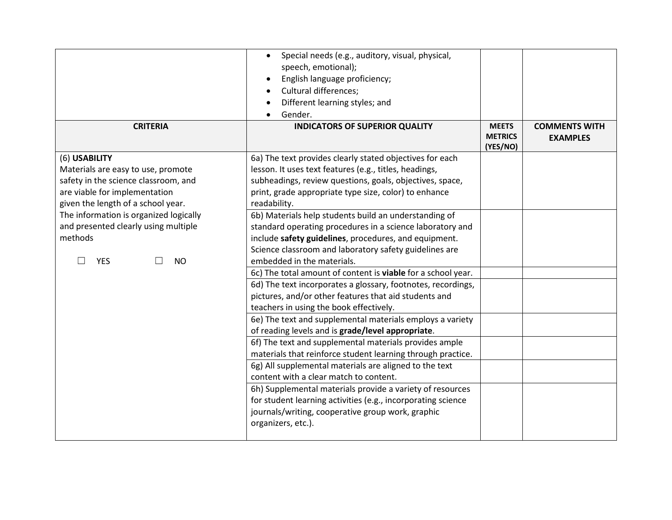|                                                 | Special needs (e.g., auditory, visual, physical,<br>$\bullet$<br>speech, emotional);<br>English language proficiency;<br><b>Cultural differences;</b> |                                            |                                         |
|-------------------------------------------------|-------------------------------------------------------------------------------------------------------------------------------------------------------|--------------------------------------------|-----------------------------------------|
|                                                 | Different learning styles; and<br>Gender.<br>$\bullet$                                                                                                |                                            |                                         |
| <b>CRITERIA</b>                                 | <b>INDICATORS OF SUPERIOR QUALITY</b>                                                                                                                 | <b>MEETS</b><br><b>METRICS</b><br>(YES/NO) | <b>COMMENTS WITH</b><br><b>EXAMPLES</b> |
| (6) USABILITY                                   | 6a) The text provides clearly stated objectives for each                                                                                              |                                            |                                         |
| Materials are easy to use, promote              | lesson. It uses text features (e.g., titles, headings,                                                                                                |                                            |                                         |
| safety in the science classroom, and            | subheadings, review questions, goals, objectives, space,                                                                                              |                                            |                                         |
| are viable for implementation                   | print, grade appropriate type size, color) to enhance                                                                                                 |                                            |                                         |
| given the length of a school year.              | readability.                                                                                                                                          |                                            |                                         |
| The information is organized logically          | 6b) Materials help students build an understanding of                                                                                                 |                                            |                                         |
| and presented clearly using multiple<br>methods | standard operating procedures in a science laboratory and                                                                                             |                                            |                                         |
|                                                 | include safety guidelines, procedures, and equipment.<br>Science classroom and laboratory safety guidelines are                                       |                                            |                                         |
| <b>NO</b><br><b>YES</b>                         | embedded in the materials.                                                                                                                            |                                            |                                         |
|                                                 | 6c) The total amount of content is viable for a school year.                                                                                          |                                            |                                         |
|                                                 | 6d) The text incorporates a glossary, footnotes, recordings,                                                                                          |                                            |                                         |
|                                                 | pictures, and/or other features that aid students and                                                                                                 |                                            |                                         |
|                                                 | teachers in using the book effectively.                                                                                                               |                                            |                                         |
|                                                 | 6e) The text and supplemental materials employs a variety                                                                                             |                                            |                                         |
|                                                 | of reading levels and is grade/level appropriate.                                                                                                     |                                            |                                         |
|                                                 | 6f) The text and supplemental materials provides ample                                                                                                |                                            |                                         |
|                                                 | materials that reinforce student learning through practice.                                                                                           |                                            |                                         |
|                                                 | 6g) All supplemental materials are aligned to the text                                                                                                |                                            |                                         |
|                                                 | content with a clear match to content.                                                                                                                |                                            |                                         |
|                                                 | 6h) Supplemental materials provide a variety of resources                                                                                             |                                            |                                         |
|                                                 | for student learning activities (e.g., incorporating science                                                                                          |                                            |                                         |
|                                                 | journals/writing, cooperative group work, graphic                                                                                                     |                                            |                                         |
|                                                 | organizers, etc.).                                                                                                                                    |                                            |                                         |
|                                                 |                                                                                                                                                       |                                            |                                         |